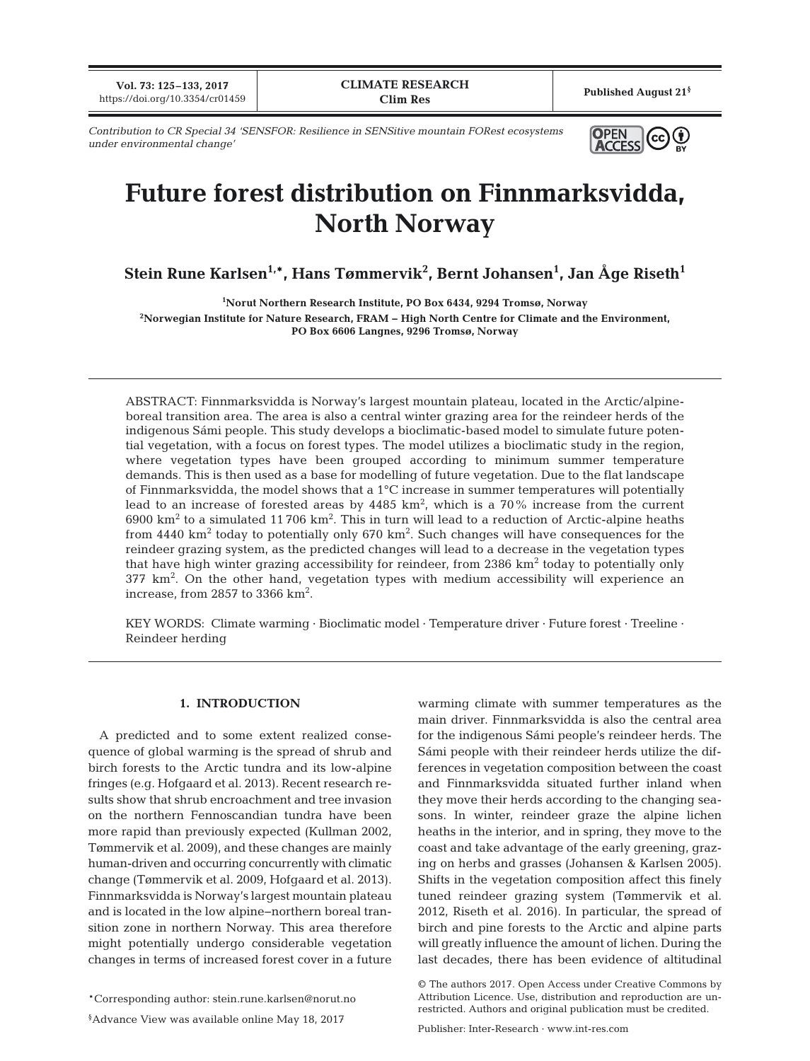**Vol. 73: 125–133, 2017** Published August 21<sup>§</sup><br>https://doi.org/10.3354/cr01459 **Published August 21**<sup>§</sup>

 $(cc)$ 

**O**PEN  **A**CCESS

*Contribution to CR Special 34 'SENSFOR: Resilience in SENSitive mountain FORest ecosystems under environmental change'*

# **Future forest distribution on Finnmarksvidda, North Norway**

 $\mathbf{S}$ tein Rune Karlsen $^{1,\ast}$ , Hans Tømmervik $^2$ , Bernt Johansen $^1$ , Jan Åge Riseth $^1$ 

**1 Norut Northern Research Institute, PO Box 6434, 9294 Tromsø, Norway 2 Norwegian Institute for Nature Research, FRAM − High North Centre for Climate and the Environment, PO Box 6606 Langnes, 9296 Tromsø, Norway**

ABSTRACT: Finnmarksvidda is Norway's largest mountain plateau, located in the Arctic/alpineboreal transition area. The area is also a central winter grazing area for the reindeer herds of the indigenous Sámi people. This study develops a bioclimatic-based model to simulate future potential vegetation, with a focus on forest types. The model utilizes a bioclimatic study in the region, where vegetation types have been grouped according to minimum summer temperature demands. This is then used as a base for modelling of future vegetation. Due to the flat landscape of Finnmarksvidda, the model shows that a 1°C increase in summer temperatures will potentially lead to an increase of forested areas by 4485 km², which is a 70% increase from the current  $6900\;{\rm km}^2$  to a simulated 11 706 km $^2$ . This in turn will lead to a reduction of Arctic-alpine heaths from 4440 km $^2$  today to potentially only 670 km $^2$ . Such changes will have consequences for the reindeer grazing system, as the predicted changes will lead to a decrease in the vegetation types that have high winter grazing accessibility for reindeer, from 2386 km<sup>2</sup> today to potentially only 377 km<sup>2</sup> . On the other hand, vegetation types with medium accessibility will experience an increase, from 2857 to 3366  $\text{km}^2$ .

KEY WORDS: Climate warming · Bioclimatic model · Temperature driver · Future forest · Treeline · Reindeer herding

## **1. INTRODUCTION**

A predicted and to some extent realized consequence of global warming is the spread of shrub and birch forests to the Arctic tundra and its low-alpine fringes (e.g. Hofgaard et al. 2013). Recent research results show that shrub encroachment and tree invasion on the northern Fennoscandian tundra have been more rapid than previously expected (Kullman 2002, Tømmervik et al. 2009), and these changes are mainly human-driven and occurring concurrently with climatic change (Tømmervik et al. 2009, Hofgaard et al. 2013). Finnmarksvidda is Norway's largest mountain plateau and is located in the low alpine−northern boreal transition zone in northern Norway. This area therefore might potentially undergo considerable vegetation changes in terms of increased forest cover in a future

\*Corresponding author: stein.rune.karlsen@norut.no

§ Advance View was available online May 18, 2017

warming climate with summer temperatures as the main driver. Finnmarksvidda is also the central area for the indigenous Sámi people's reindeer herds. The Sámi people with their reindeer herds utilize the differences in vegetation composition between the coast and Finnmarksvidda situated further inland when they move their herds according to the changing seasons. In winter, reindeer graze the alpine lichen heaths in the interior, and in spring, they move to the coast and take advantage of the early greening, grazing on herbs and grasses (Johansen & Karlsen 2005). Shifts in the vegetation composition affect this finely tuned reindeer grazing system (Tømmervik et al. 2012, Riseth et al. 2016). In particular, the spread of birch and pine forests to the Arctic and alpine parts will greatly influence the amount of lichen. During the last decades, there has been evidence of altitudinal

© The authors 2017. Open Access under Creative Commons by Attribution Licence. Use, distribution and reproduction are unrestricted. Authors and original publication must be credited.

Publisher: Inter-Research · www.int-res.com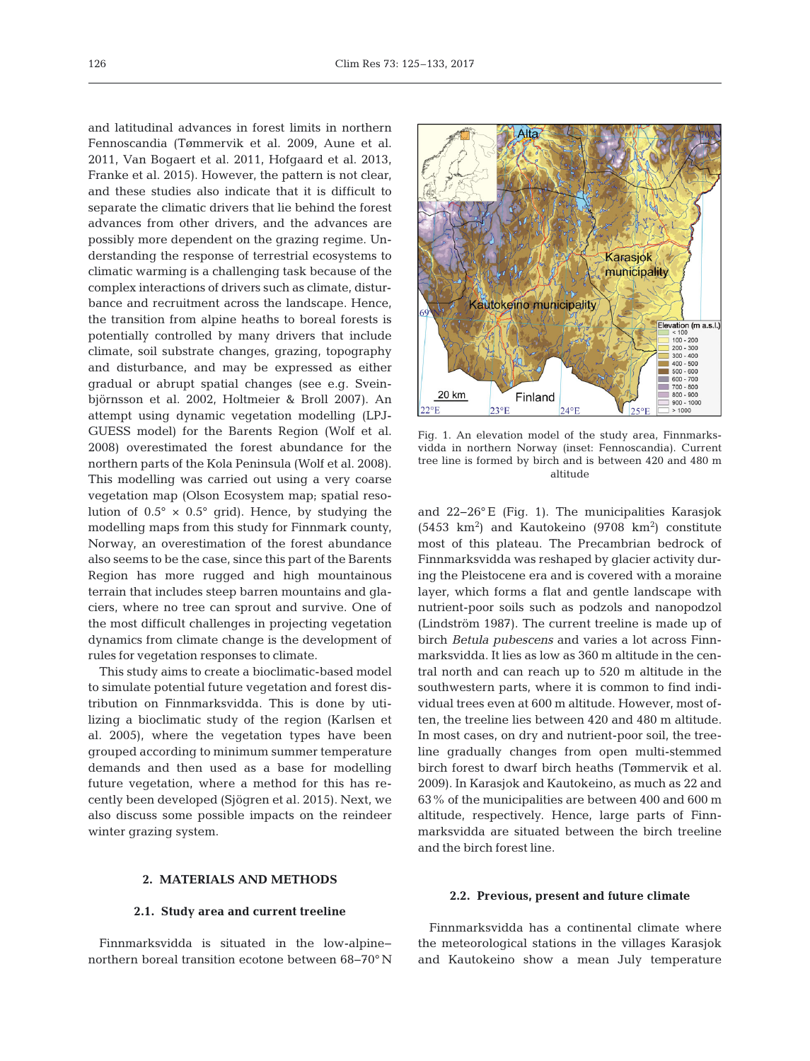and latitudinal advances in forest limits in northern Fennoscandia (Tømmervik et al. 2009, Aune et al. 2011, Van Bogaert et al. 2011, Hofgaard et al. 2013, Franke et al. 2015). However, the pattern is not clear, and these studies also indicate that it is difficult to separate the climatic drivers that lie behind the forest advances from other drivers, and the advances are possibly more dependent on the grazing regime. Understanding the response of terrestrial ecosystems to climatic warming is a challenging task because of the complex interactions of drivers such as climate, disturbance and recruitment across the landscape. Hence, the transition from alpine heaths to boreal forests is potentially controlled by many drivers that include climate, soil substrate changes, grazing, topography and disturbance, and may be expressed as either gradual or abrupt spatial changes (see e.g. Sveinbjörnsson et al. 2002, Holtmeier & Broll 2007). An attempt using dynamic vegetation modelling (LPJ-GUESS model) for the Barents Region (Wolf et al. 2008) overestimated the forest abundance for the northern parts of the Kola Peninsula (Wolf et al. 2008). This modelling was carried out using a very coarse vegetation map (Olson Ecosystem map; spatial resolution of  $0.5^{\circ} \times 0.5^{\circ}$  grid). Hence, by studying the modelling maps from this study for Finnmark county, Norway, an overestimation of the forest abundance also seems to be the case, since this part of the Barents Region has more rugged and high mountainous terrain that includes steep barren mountains and glaciers, where no tree can sprout and survive. One of the most difficult challenges in projecting vegetation dynamics from climate change is the development of rules for vegetation responses to climate.

This study aims to create a bioclimatic-based model to simulate potential future vegetation and forest distribution on Finnmarksvidda. This is done by utilizing a bioclimatic study of the region (Karlsen et al. 2005), where the vegetation types have been grouped according to minimum summer temperature demands and then used as a base for modelling future vegetation, where a method for this has recently been developed (Sjögren et al. 2015). Next, we also discuss some possible impacts on the reindeer winter grazing system.

# Alta Karasjok municipality Kautokeino municipality Elevation (m a.s.l.)  $100 - 200$  $200 - 300$  $300 - 400$  $400 - 500$ <br> $500 - 600$  $600 - 700$  $700 - 800$  $\frac{800 - 900}{900 - 1000}$ 20 km Finland  $22^{\circ}E$  $23°F$  $250F$  $>1000$

Fig. 1. An elevation model of the study area, Finnmarksvidda in northern Norway (inset: Fennoscandia). Current tree line is formed by birch and is between 420 and 480 m altitude

and 22−26° E (Fig. 1). The municipalities Karasjok  $(5453 \text{ km}^2)$  and Kautokeino  $(9708 \text{ km}^2)$  constitute most of this plateau. The Precambrian bedrock of Finnmarksvidda was reshaped by glacier activity during the Pleistocene era and is covered with a moraine layer, which forms a flat and gentle landscape with nutrient-poor soils such as podzols and nanopodzol (Lindström 1987). The current treeline is made up of birch *Betula pubescens* and varies a lot across Finnmarksvidda. It lies as low as 360 m altitude in the central north and can reach up to 520 m altitude in the southwestern parts, where it is common to find individual trees even at 600 m altitude. However, most often, the treeline lies between 420 and 480 m altitude. In most cases, on dry and nutrient-poor soil, the treeline gradually changes from open multi-stemmed birch forest to dwarf birch heaths (Tømmervik et al. 2009). In Karasjok and Kautokeino, as much as 22 and 63% of the municipalities are between 400 and 600 m altitude, respectively. Hence, large parts of Finnmarks vidda are situated between the birch treeline and the birch forest line.

#### **2. MATERIALS AND METHODS**

#### **2.1. Study area and current treeline**

Finnmarksvidda is situated in the low-alpine− northern boreal transition ecotone between 68−70° N

#### **2.2. Previous, present and future climate**

Finnmarksvidda has a continental climate where the meteorological stations in the villages Karasjok and Kautokeino show a mean July temperature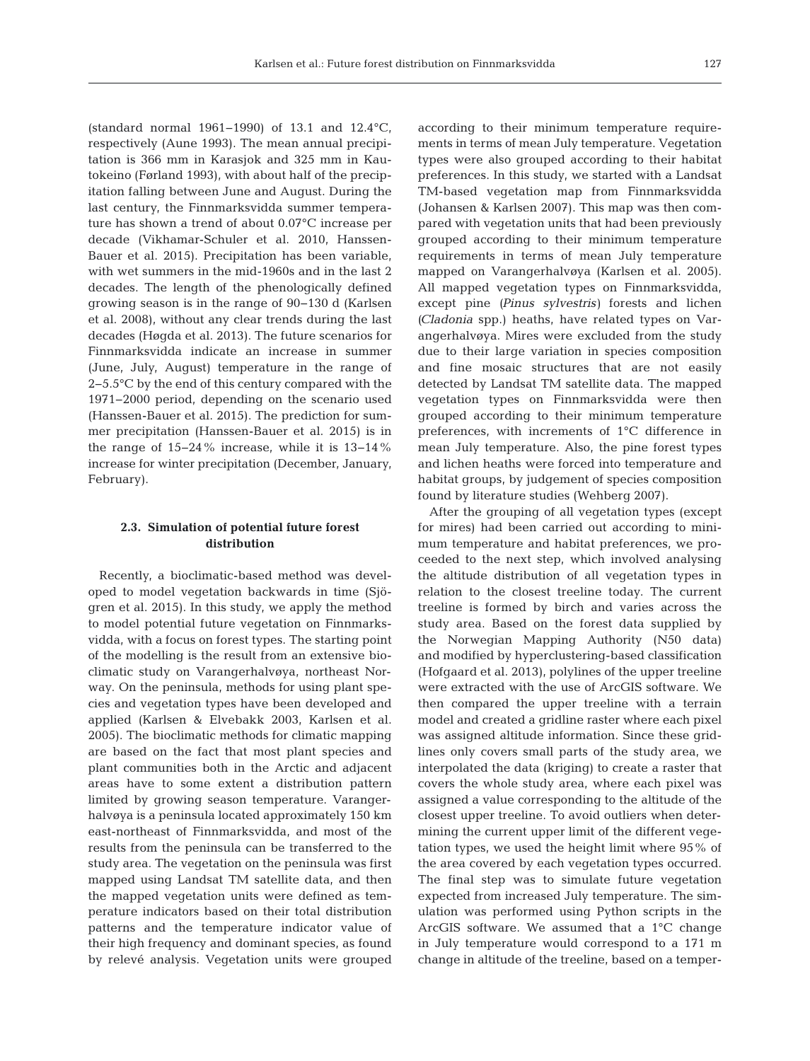(standard normal 1961−1990) of 13.1 and 12.4°C, respectively (Aune 1993). The mean annual precipitation is 366 mm in Karasjok and 325 mm in Kautokeino (Førland 1993), with about half of the precipitation falling between June and August. During the last century, the Finnmarksvidda summer temperature has shown a trend of about 0.07°C increase per decade (Vikhamar-Schuler et al. 2010, Hanssen-Bauer et al. 2015). Precipitation has been variable, with wet summers in the mid-1960s and in the last 2 decades. The length of the phenologically defined growing season is in the range of 90−130 d (Karlsen et al. 2008), without any clear trends during the last decades (Høgda et al. 2013). The future scenarios for Finnmarksvidda indicate an increase in summer (June, July, August) temperature in the range of 2−5.5°C by the end of this century compared with the 1971−2000 period, depending on the scenario used (Hanssen-Bauer et al. 2015). The prediction for summer precipitation (Hanssen-Bauer et al. 2015) is in the range of 15−24% increase, while it is 13−14% increase for winter precipitation (December, January, February).

# **2.3. Simulation of potential future forest distribution**

Recently, a bioclimatic-based method was developed to model vegetation backwards in time (Sjögren et al. 2015). In this study, we apply the method to model potential future vegetation on Finnmarksvidda, with a focus on forest types. The starting point of the modelling is the result from an extensive bioclimatic study on Varangerhalvøya, northeast Norway. On the peninsula, methods for using plant species and vegetation types have been developed and applied (Karlsen & Elvebakk 2003, Karlsen et al. 2005). The bioclimatic methods for climatic mapping are based on the fact that most plant species and plant communities both in the Arctic and adjacent areas have to some extent a distribution pattern limited by growing season temperature. Varangerhalvøya is a peninsula located approximately 150 km east-northeast of Finnmarksvidda, and most of the results from the peninsula can be transferred to the study area. The vegetation on the peninsula was first mapped using Landsat TM satellite data, and then the mapped vegetation units were defined as temperature indicators based on their total distribution patterns and the temperature indicator value of their high frequency and dominant species, as found by relevé analysis. Vegetation units were grouped according to their minimum temperature requirements in terms of mean July temperature. Vegetation types were also grouped according to their habitat preferences. In this study, we started with a Landsat TM-based vegetation map from Finnmarksvidda (Johansen & Karlsen 2007). This map was then compared with vegetation units that had been previously grouped according to their minimum temperature requirements in terms of mean July temperature mapped on Varangerhalvøya (Karlsen et al. 2005). All mapped vegetation types on Finnmarksvidda, except pine *(Pinus sylvestris)* forests and lichen *(Cladonia* spp.) heaths, have related types on Varangerhalvøya. Mires were excluded from the study due to their large variation in species composition and fine mosaic structures that are not easily detected by Landsat TM satellite data. The mapped vegetation types on Finnmarksvidda were then grouped according to their minimum temperature preferences, with increments of 1°C difference in mean July temperature. Also, the pine forest types and lichen heaths were forced into temperature and habitat groups, by judgement of species composition found by literature studies (Wehberg 2007).

After the grouping of all vegetation types (except for mires) had been carried out according to minimum temperature and habitat preferences, we proceeded to the next step, which involved analysing the altitude distribution of all vegetation types in relation to the closest treeline today. The current treeline is formed by birch and varies across the study area. Based on the forest data supplied by the Norwegian Mapping Authority (N50 data) and modified by hyperclustering-based classification (Hofgaard et al. 2013), polylines of the upper treeline were extracted with the use of ArcGIS software. We then compared the upper treeline with a terrain model and created a gridline raster where each pixel was assigned altitude information. Since these gridlines only covers small parts of the study area, we interpolated the data (kriging) to create a raster that covers the whole study area, where each pixel was assigned a value corresponding to the altitude of the closest upper treeline. To avoid outliers when determining the current upper limit of the different vegetation types, we used the height limit where 95% of the area covered by each vegetation types occurred. The final step was to simulate future vegetation expected from increased July temperature. The simulation was performed using Python scripts in the ArcGIS software. We assumed that a 1°C change in July temperature would correspond to a 171 m change in altitude of the treeline, based on a temper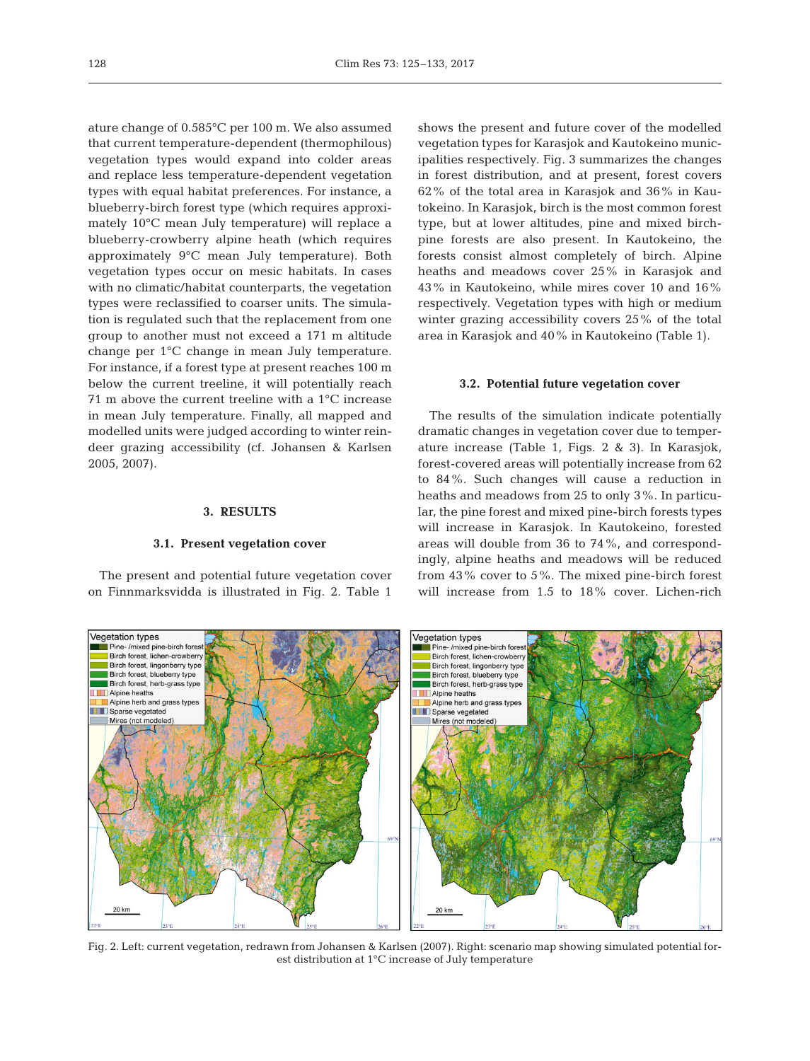ature change of 0.585°C per 100 m. We also assumed that current temperature-dependent (thermophilous) vegetation types would expand into colder areas and replace less temperature-dependent vegetation types with equal habitat preferences. For instance, a blueberry-birch forest type (which requires approximately 10°C mean July temperature) will replace a blueberry-crowberry alpine heath (which requires approximately 9°C mean July temperature). Both vegetation types occur on mesic habitats. In cases with no climatic/habitat counterparts, the vegetation types were reclassified to coarser units. The simulation is regulated such that the replacement from one group to another must not exceed a 171 m altitude change per 1°C change in mean July temperature. For instance, if a forest type at present reaches 100 m below the current treeline, it will potentially reach 71 m above the current treeline with a 1°C increase in mean July temperature. Finally, all mapped and modelled units were judged according to winter reindeer grazing accessibility (cf. Johansen & Karlsen 2005, 2007).

#### **3. RESULTS**

#### **3.1. Present vegetation cover**

The present and potential future vegetation cover on Finnmarksvidda is illustrated in Fig. 2. Table 1

shows the present and future cover of the modelled vegetation types for Karasjok and Kautokeino municipalities respectively. Fig. 3 summarizes the changes in forest distribution, and at present, forest covers 62% of the total area in Karasjok and 36% in Kautokeino. In Karasjok, birch is the most common forest type, but at lower altitudes, pine and mixed birchpine forests are also present. In Kautokeino, the forests consist almost completely of birch. Alpine heaths and meadows cover 25% in Karasjok and 43% in Kautokeino, while mires cover 10 and 16% respectively. Vegetation types with high or medium winter grazing accessibility covers 25% of the total area in Karasjok and 40% in Kautokeino (Table 1).

#### **3.2. Potential future vegetation cover**

The results of the simulation indicate potentially dramatic changes in vegetation cover due to temperature increase (Table 1, Figs. 2 & 3). In Karasjok, forest-covered areas will potentially increase from 62 to 84%. Such changes will cause a reduction in heaths and meadows from 25 to only 3%. In particular, the pine forest and mixed pine-birch forests types will increase in Karasjok. In Kautokeino, forested areas will double from 36 to 74%, and correspondingly, alpine heaths and meadows will be reduced from 43% cover to 5%. The mixed pine-birch forest will increase from 1.5 to 18% cover. Lichen-rich



Fig. 2. Left: current vegetation, redrawn from Johansen & Karlsen (2007). Right: scenario map showing simulated potential forest distribution at 1°C increase of July temperature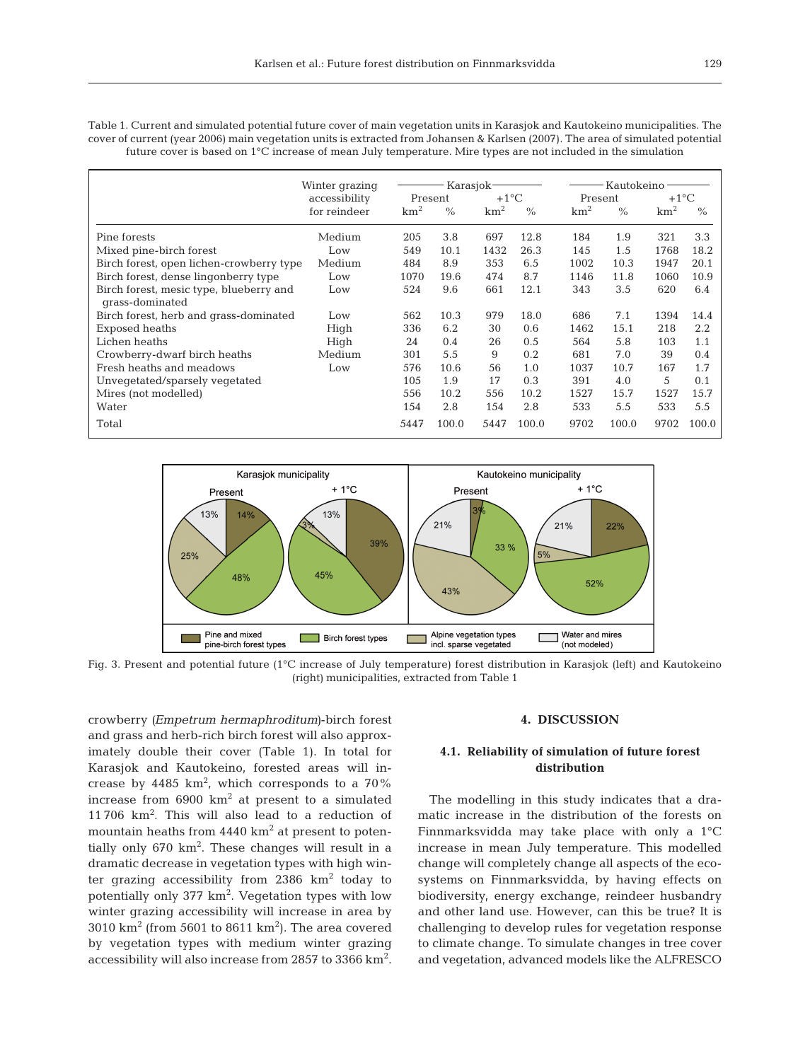Table 1. Current and simulated potential future cover of main vegetation units in Karasjok and Kautokeino municipalities. The cover of current (year 2006) main vegetation units is extracted from Johansen & Karlsen (2007). The area of simulated potential future cover is based on 1°C increase of mean July temperature. Mire types are not included in the simulation

|                                                            | Winter grazing | Karasjok-       |       |                 |               | Kautokeino      |       |                     |       |
|------------------------------------------------------------|----------------|-----------------|-------|-----------------|---------------|-----------------|-------|---------------------|-------|
|                                                            | accessibility  | Present         |       | $+1$ °C         |               | Present         |       | $+1$ <sup>o</sup> C |       |
|                                                            | for reindeer   | km <sup>2</sup> | $\%$  | km <sup>2</sup> | $\frac{0}{0}$ | km <sup>2</sup> | $\%$  | km <sup>2</sup>     | $\%$  |
| Pine forests                                               | Medium         | 205             | 3.8   | 697             | 12.8          | 184             | 1.9   | 321                 | 3.3   |
| Mixed pine-birch forest                                    | Low            | 549             | 10.1  | 1432            | 26.3          | 145             | 1.5   | 1768                | 18.2  |
| Birch forest, open lichen-crowberry type                   | Medium         | 484             | 8.9   | 353             | 6.5           | 1002            | 10.3  | 1947                | 20.1  |
| Birch forest, dense lingonberry type                       | Low            | 1070            | 19.6  | 474             | 8.7           | 1146            | 11.8  | 1060                | 10.9  |
| Birch forest, mesic type, blueberry and<br>grass-dominated | Low            | 524             | 9.6   | 661             | 12.1          | 343             | 3.5   | 620                 | 6.4   |
| Birch forest, herb and grass-dominated                     | Low            | 562             | 10.3  | 979             | 18.0          | 686             | 7.1   | 1394                | 14.4  |
| Exposed heaths                                             | High           | 336             | 6.2   | 30              | 0.6           | 1462            | 15.1  | 218                 | 2.2   |
| Lichen heaths                                              | High           | 24              | 0.4   | 26              | 0.5           | 564             | 5.8   | 103                 | 1.1   |
| Crowberry-dwarf birch heaths                               | Medium         | 301             | 5.5   | 9               | 0.2           | 681             | 7.0   | 39                  | 0.4   |
| Fresh heaths and meadows                                   | Low            | 576             | 10.6  | 56              | 1.0           | 1037            | 10.7  | 167                 | 1.7   |
| Unvegetated/sparsely vegetated                             |                | 105             | 1.9   | 17              | 0.3           | 391             | 4.0   | 5                   | 0.1   |
| Mires (not modelled)                                       |                | 556             | 10.2  | 556             | 10.2          | 1527            | 15.7  | 1527                | 15.7  |
| Water                                                      |                | 154             | 2.8   | 154             | 2.8           | 533             | 5.5   | 533                 | 5.5   |
| Total                                                      |                | 5447            | 100.0 | 5447            | 100.0         | 9702            | 100.0 | 9702                | 100.0 |



Fig. 3. Present and potential future (1°C increase of July temperature) forest distribution in Karasjok (left) and Kautokeino (right) municipalities, extracted from Table 1

crowberry *(Empetrum hermaphroditum)*-birch forest and grass and herb-rich birch forest will also approximately double their cover (Table 1). In total for Karasjok and Kautokeino, forested areas will in crease by 4485  $km^2$ , which corresponds to a 70% increase from  $6900 \text{ km}^2$  at present to a simulated 11 706 km2 . This will also lead to a reduction of mountain heaths from  $4440 \text{ km}^2$  at present to potentially only  $670 \text{ km}^2$ . These changes will result in a dramatic decrease in vegetation types with high winter grazing accessibility from  $2386 \text{ km}^2$  today to potentially only 377 km<sup>2</sup>. Vegetation types with low winter grazing accessibility will increase in area by  $3010 \text{ km}^2$  (from 5601 to 8611 km<sup>2</sup>). The area covered by vegetation types with medium winter grazing accessibility will also increase from 2857 to 3366  $\text{km}^2$ .

#### **4. DISCUSSION**

# **4.1. Reliability of simulation of future forest distribution**

The modelling in this study indicates that a dramatic increase in the distribution of the forests on Finnmarksvidda may take place with only a 1°C increase in mean July temperature. This modelled change will completely change all aspects of the ecosystems on Finnmarksvidda, by having effects on biodiversity, energy exchange, reindeer husbandry and other land use. However, can this be true? It is challenging to develop rules for vegetation response to climate change. To simulate changes in tree cover and vegetation, advanced models like the ALFRESCO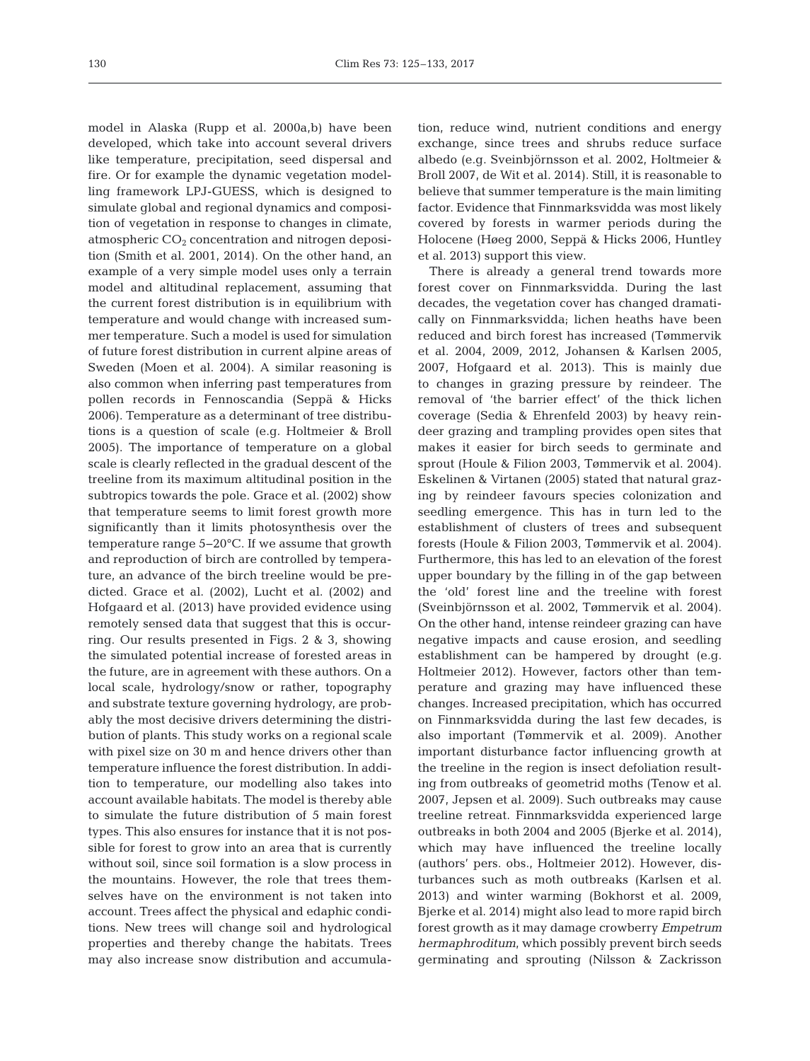model in Alaska (Rupp et al. 2000a,b) have been developed, which take into account several drivers like temperature, precipitation, seed dispersal and fire. Or for example the dynamic vegetation modelling framework LPJ-GUESS, which is designed to simulate global and regional dynamics and composition of vegetation in response to changes in climate, atmospheric  $CO<sub>2</sub>$  concentration and nitrogen deposition (Smith et al. 2001, 2014). On the other hand, an example of a very simple model uses only a terrain model and altitudinal replacement, assuming that the current forest distribution is in equilibrium with temperature and would change with increased summer temperature. Such a model is used for simulation of future forest distribution in current alpine areas of Sweden (Moen et al. 2004). A similar reasoning is also common when inferring past temperatures from pollen records in Fennoscandia (Seppä & Hicks 2006). Temperature as a determinant of tree distributions is a question of scale (e.g. Holtmeier & Broll 2005). The importance of temperature on a global scale is clearly reflected in the gradual descent of the treeline from its maximum altitudinal position in the subtropics towards the pole. Grace et al. (2002) show that temperature seems to limit forest growth more significantly than it limits photosynthesis over the temperature range 5−20°C. If we assume that growth and reproduction of birch are controlled by temperature, an advance of the birch treeline would be predicted. Grace et al. (2002), Lucht et al. (2002) and Hofgaard et al. (2013) have provided evidence using remotely sensed data that suggest that this is occurring. Our results presented in Figs. 2 & 3, showing the simulated potential increase of forested areas in the future, are in agreement with these authors. On a local scale, hydrology/snow or rather, topography and substrate texture governing hydrology, are probably the most decisive drivers determining the distribution of plants. This study works on a regional scale with pixel size on 30 m and hence drivers other than temperature influence the forest distribution. In addition to temperature, our modelling also takes into account available habitats. The model is thereby able to simulate the future distribution of 5 main forest types. This also ensures for instance that it is not possible for forest to grow into an area that is currently without soil, since soil formation is a slow process in the mountains. However, the role that trees themselves have on the environment is not taken into account. Trees affect the physical and edaphic conditions. New trees will change soil and hydrological properties and thereby change the habitats. Trees may also increase snow distribution and accumulation, reduce wind, nutrient conditions and energy exchange, since trees and shrubs reduce surface albedo (e.g. Sveinbjörnsson et al. 2002, Holtmeier & Broll 2007, de Wit et al. 2014). Still, it is reasonable to believe that summer temperature is the main limiting factor. Evidence that Finnmarksvidda was most likely covered by forests in warmer periods during the Holocene (Høeg 2000, Seppä & Hicks 2006, Huntley et al. 2013) support this view.

There is already a general trend towards more forest cover on Finnmarksvidda. During the last decades, the vegetation cover has changed dramatically on Finnmarksvidda; lichen heaths have been reduced and birch forest has increased (Tømmervik et al. 2004, 2009, 2012, Johansen & Karlsen 2005, 2007, Hofgaard et al. 2013). This is mainly due to changes in grazing pressure by reindeer. The removal of 'the barrier effect' of the thick lichen coverage (Sedia & Ehrenfeld 2003) by heavy reindeer grazing and trampling provides open sites that makes it easier for birch seeds to germinate and sprout (Houle & Filion 2003, Tømmervik et al. 2004). Eskelinen & Virtanen (2005) stated that natural grazing by reindeer favours species colonization and seedling emergence. This has in turn led to the establishment of clusters of trees and subsequent forests (Houle & Filion 2003, Tømmervik et al. 2004). Furthermore, this has led to an elevation of the forest upper boundary by the filling in of the gap between the 'old' forest line and the treeline with forest (Sveinbjörnsson et al. 2002, Tømmervik et al. 2004). On the other hand, intense reindeer grazing can have negative impacts and cause erosion, and seedling establishment can be hampered by drought (e.g. Holtmeier 2012). However, factors other than temperature and grazing may have influenced these changes. Increased precipitation, which has occurred on Finnmarksvidda during the last few decades, is also important (Tømmervik et al. 2009). Another important disturbance factor influencing growth at the treeline in the region is insect defoliation resulting from outbreaks of geometrid moths (Tenow et al. 2007, Jepsen et al. 2009). Such outbreaks may cause treeline retreat. Finnmarksvidda experienced large outbreaks in both 2004 and 2005 (Bjerke et al. 2014), which may have influenced the treeline locally (authors' pers. obs., Holtmeier 2012). However, disturbances such as moth outbreaks (Karlsen et al. 2013) and winter warming (Bokhorst et al. 2009, Bjerke et al. 2014) might also lead to more rapid birch forest growth as it may damage crowberry *Em petrum hermaphroditum*, which possibly prevent birch seeds germinating and sprouting (Nilsson & Zackrisson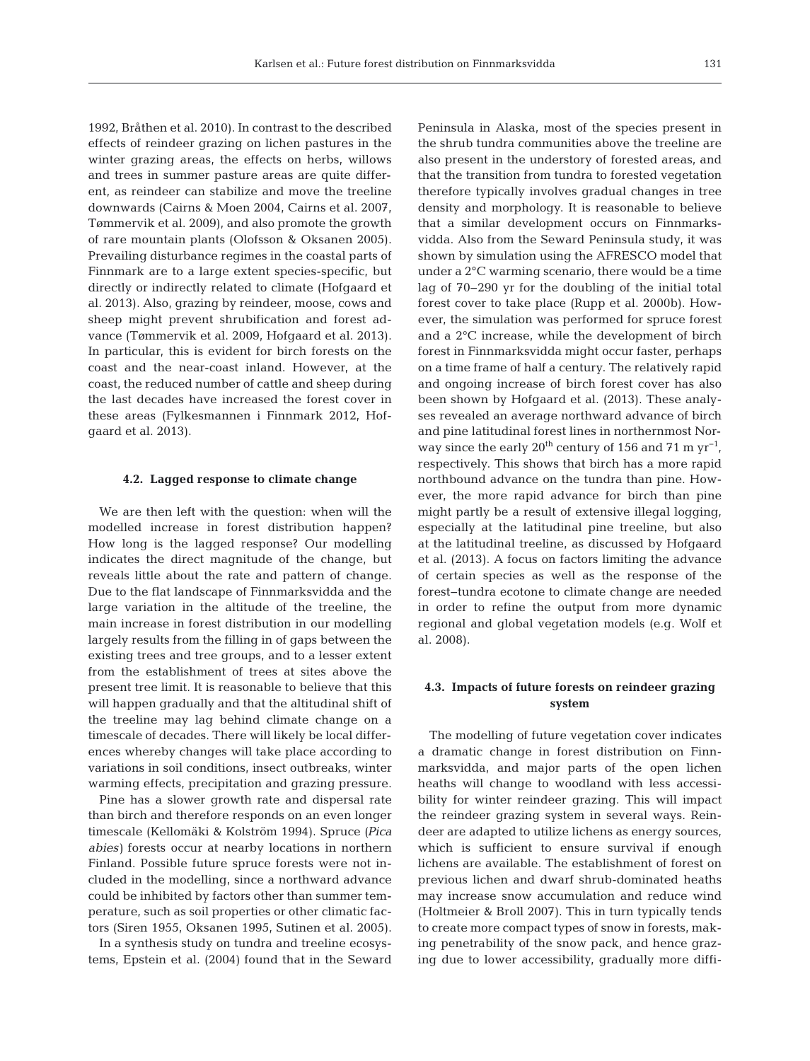1992, Bråthen et al. 2010). In contrast to the described effects of reindeer grazing on lichen pastures in the winter grazing areas, the effects on herbs, willows and trees in summer pasture areas are quite different, as reindeer can stabilize and move the treeline downwards (Cairns & Moen 2004, Cairns et al. 2007, Tømmervik et al. 2009), and also promote the growth of rare mountain plants (Olofsson & Oksanen 2005). Prevailing disturbance regimes in the coastal parts of Finnmark are to a large extent species-specific, but directly or indirectly related to climate (Hofgaard et al. 2013). Also, grazing by reindeer, moose, cows and sheep might prevent shrubification and forest ad vance (Tømmervik et al. 2009, Hofgaard et al. 2013). In particular, this is evident for birch forests on the coast and the near-coast inland. However, at the coast, the reduced number of cattle and sheep during the last decades have increased the forest cover in these areas (Fylkesmannen i Finnmark 2012, Hofgaard et al. 2013).

#### **4.2. Lagged response to climate change**

We are then left with the question: when will the modelled increase in forest distribution happen? How long is the lagged response? Our modelling indicates the direct magnitude of the change, but reveals little about the rate and pattern of change. Due to the flat landscape of Finnmarksvidda and the large variation in the altitude of the treeline, the main increase in forest distribution in our modelling largely results from the filling in of gaps between the existing trees and tree groups, and to a lesser extent from the establishment of trees at sites above the present tree limit. It is reasonable to believe that this will happen gradually and that the altitudinal shift of the treeline may lag behind climate change on a timescale of decades. There will likely be local differences whereby changes will take place according to variations in soil conditions, insect outbreaks, winter warming effects, precipitation and grazing pressure.

Pine has a slower growth rate and dispersal rate than birch and therefore responds on an even longer timescale (Kellomäki & Kolström 1994). Spruce *(Pica abies)* forests occur at nearby locations in northern Finland. Possible future spruce forests were not in cluded in the modelling, since a northward advance could be inhibited by factors other than summer temperature, such as soil properties or other climatic factors (Siren 1955, Oksanen 1995, Sutinen et al. 2005).

In a synthesis study on tundra and treeline ecosystems, Epstein et al. (2004) found that in the Seward Peninsula in Alaska, most of the species present in the shrub tundra communities above the treeline are also present in the understory of forested areas, and that the transition from tundra to forested vegetation therefore typically involves gradual changes in tree density and morphology. It is reasonable to believe that a similar development occurs on Finnmarksvidda. Also from the Seward Peninsula study, it was shown by simulation using the AFRESCO model that under a 2°C warming scenario, there would be a time lag of 70−290 yr for the doubling of the initial total forest cover to take place (Rupp et al. 2000b). However, the simulation was performed for spruce forest and a 2°C increase, while the development of birch forest in Finnmarksvidda might occur faster, perhaps on a time frame of half a century. The relatively rapid and ongoing increase of birch forest cover has also been shown by Hofgaard et al. (2013). These analyses revealed an average northward advance of birch and pine latitudinal forest lines in northernmost Norway since the early 20<sup>th</sup> century of 156 and 71 m yr<sup>-1</sup>, respectively. This shows that birch has a more rapid northbound advance on the tundra than pine. However, the more rapid advance for birch than pine might partly be a result of extensive illegal logging, especially at the latitudinal pine treeline, but also at the latitudinal treeline, as discussed by Hofgaard et al. (2013). A focus on factors limiting the advance of certain species as well as the response of the forest−tundra ecotone to climate change are needed in order to refine the output from more dynamic regional and global vegetation models (e.g. Wolf et al. 2008).

# **4.3. Impacts of future forests on reindeer grazing system**

The modelling of future vegetation cover indicates a dramatic change in forest distribution on Finnmarksvidda, and major parts of the open lichen heaths will change to woodland with less accessi bility for winter reindeer grazing. This will impact the reindeer grazing system in several ways. Reindeer are adapted to utilize lichens as energy sources, which is sufficient to ensure survival if enough lichens are available. The establishment of forest on previous lichen and dwarf shrub-dominated heaths may increase snow accumulation and reduce wind (Holtmeier & Broll 2007). This in turn typically tends to create more compact types of snow in forests, making penetrability of the snow pack, and hence grazing due to lower accessibility, gradually more diffi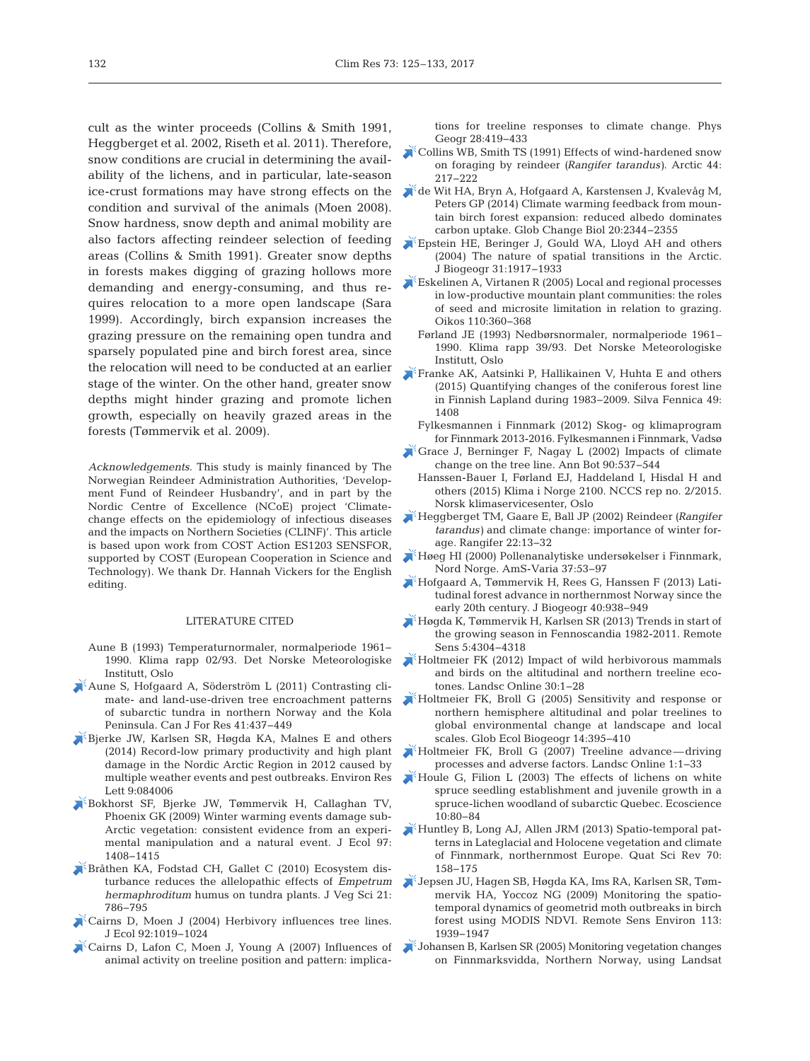cult as the winter proceeds (Collins & Smith 1991, Heggberget et al. 2002, Riseth et al. 2011). Therefore, snow conditions are crucial in determining the availability of the lichens, and in particular, late-season ice-crust formations may have strong effects on the condition and survival of the animals (Moen 2008). Snow hardness, snow depth and animal mobility are also factors affecting reindeer selection of feeding areas (Collins & Smith 1991). Greater snow depths in forests makes digging of grazing hollows more demanding and energy-consuming, and thus re quires relocation to a more open landscape (Sara 1999). Accordingly, birch expansion increases the grazing pressure on the remaining open tundra and sparsely populated pine and birch forest area, since the relocation will need to be conducted at an earlier stage of the winter. On the other hand, greater snow depths might hinder grazing and promote lichen growth, especially on heavily grazed areas in the forests (Tømmervik et al. 2009).

*Acknowledgements*. This study is mainly financed by The Norwegian Reindeer Administration Authorities, 'Development Fund of Reindeer Husbandry', and in part by the Nordic Centre of Excellence (NCoE) project 'Climatechange effects on the epidemiology of infectious diseases and the impacts on Northern Societies (CLINF)'. This article is based upon work from COST Action ES1203 SENSFOR, supported by COST (European Cooperation in Science and Technology). We thank Dr. Hannah Vickers for the English editing.

### LITERATURE CITED

- Aune B (1993) Temperaturnormaler, normalperiode 1961− 1990. Klima rapp 02/93. Det Norske Meteorologiske Institutt, Oslo
- $\lambda^*$ [Aune S, Hofgaard A, Söderström L \(2011\) Contrasting cli](https://doi.org/10.1139/X10-086)mate- and land-use-driven tree encroachment patterns of subarctic tundra in northern Norway and the Kola Peninsula. Can J For Res 41:437-449
- [Bjerke JW, Karlsen SR, Høgda KA, Malnes E and others](https://doi.org/10.1088/1748-9326/9/8/084006) (2014) Record-low primary productivity and high plant damage in the Nordic Arctic Region in 2012 caused by multiple weather events and pest outbreaks. Environ Res Lett 9:084006
- [Bokhorst SF, Bjerke JW, Tømmervik H, Callaghan TV,](https://doi.org/10.1111/j.1365-2745.2009.01554.x) Phoenix GK (2009) Winter warming events damage sub-Arctic vegetation: consistent evidence from an experimental manipulation and a natural event. J Ecol 97: 1408−1415
- [Bråthen KA, Fodstad CH, Gallet C \(2010\) Ecosystem dis](https://doi.org/10.1111/j.1654-1103.2010.01188.x)  turbance reduces the allelopathic effects of *Empetrum hermaphroditum* humus on tundra plants. J Veg Sci 21: 786−795
- [Cairns D, Moen J \(2004\) Herbivory influences tree lines.](https://doi.org/10.1111/j.1365-2745.2004.00945.x) J Ecol 92: 1019−1024
- [Cairns D, Lafon C, Moen J, Young A \(2007\) Influences of](https://doi.org/10.2747/0272-3646.28.5.419) animal activity on treeline position and pattern: implica-

tions for treeline responses to climate change. Phys Geogr 28:419-433

- $K$ [Collins WB, Smith TS \(1991\) Effects of wind-hardened snow](https://doi.org/10.14430/arctic1541) on foraging by reindeer *(Rangifer tarandus)*. Arctic 44: 217−222
- [de Wit HA, Bryn A, Hofgaard A, Karstensen J, Kvalevåg M,](https://doi.org/10.1111/gcb.12483) Peters GP (2014) Climate warming feedback from mountain birch forest expansion: reduced albedo dominates carbon uptake. Glob Change Biol 20: 2344−2355
- [Epstein HE, Beringer J, Gould WA, Lloyd AH and others](https://doi.org/10.1111/j.1365-2699.2004.01140.x) (2004) The nature of spatial transitions in the Arctic. J Biogeogr 31: 1917−1933
- [Eskelinen A, Virtanen R \(2005\) Local and regional processes](https://doi.org/10.1111/j.0030-1299.2005.13579.x) in low-productive mountain plant communities: the roles of seed and microsite limitation in relation to grazing. Oikos 110: 360−368
	- Førland JE (1993) Nedbørsnormaler, normalperiode 1961– 1990. Klima rapp 39/93. Det Norske Meteorologiske Institutt, Oslo
- **[Franke AK, Aatsinki P, Hallikainen V, Huhta E and others](https://doi.org/10.14214/sf.1408)** (2015) Quantifying changes of the coniferous forest line in Finnish Lapland during 1983−2009. Silva Fennica 49: 1408
	- Fylkesmannen i Finnmark (2012) Skog- og klimaprogram for Finnmark 2013-2016. Fylkesmannen i Finnmark, Vadsø
- [Grace J, Berninger F, Nagay L \(2002\) Impacts of climate](https://doi.org/10.1093/aob/mcf222) change on the tree line. Ann Bot 90:537-544
	- Hanssen-Bauer I, Førland EJ, Haddeland I, Hisdal H and others (2015) Klima i Norge 2100. NCCS rep no. 2/2015. Norsk klimaservicesenter, Oslo
- [Heggberget TM, Gaare E, Ball JP \(2002\) Reindeer](https://doi.org/10.7557/2.22.1.388) *(Rangifer tarandus*) and climate change: importance of winter forage. Rangifer 22: 13−32
- [Høeg HI \(2000\) Pollenanalytiske undersøkelser i Finnmark,](http://am.uis.no/publikasjoner/ams-varia/) Nord Norge. AmS-Varia 37:53-97
- [Hofgaard A, Tømmervik H, Rees G, Hanssen F \(2013\) Lati](https://doi.org/10.1111/jbi.12053)tudinal forest advance in northernmost Norway since the early 20th century. J Biogeogr 40:938-949
- [Høgda K, Tømmervik H, Karlsen SR \(2013\) Trends in start of](https://doi.org/10.3390/rs5094304) the growing season in Fennoscandia 1982-2011. Remote Sens 5:4304-4318
- [Holtmeier FK \(2012\) Impact of wild herbivorous mammals](https://doi.org/10.3097/LO.201230) and birds on the altitudinal and northern treeline ecotones. Landsc Online 30: 1−28
- [Holtmeier FK, Broll G \(2005\) Sensitivity and response or](https://doi.org/10.1111/j.1466-822X.2005.00168.x) northern hemisphere altitudinal and polar treelines to global environmental change at landscape and local scales. Glob Ecol Biogeogr 14:395-410
- [Holtmeier FK, Broll G \(2007\) Treeline advance—driving](https://doi.org/10.3097/LO.200701) processes and adverse factors. Landsc Online 1: 1−33
- [Houle G, Filion L \(2003\) The effects of lichens on white](https://doi.org/10.1080/11956860.2003.11682754) spruce seedling establishment and juvenile growth in a spruce-lichen woodland of subarctic Quebec. Ecoscience 10: 80−84
- [Huntley B, Long AJ, Allen JRM \(2013\) Spatio-temporal pat](https://doi.org/10.1016/j.quascirev.2013.03.006)terns in Lateglacial and Holocene vegetation and climate of Finnmark, northernmost Europe. Quat Sci Rev 70: 158−175
- [Jepsen JU, Hagen SB, Høgda KA, Ims RA, Karlsen SR, Tøm](https://doi.org/10.1016/j.rse.2009.05.006)mervik HA, Yoccoz NG (2009) Monitoring the spatiotemporal dynamics of geometrid moth outbreaks in birch forest using MODIS NDVI. Remote Sens Environ 113: 1939−1947
- [Johansen B, Karlsen SR \(2005\) Monitoring vegetation changes](https://doi.org/10.1127/0340-269X/2005/0035-0969) on Finnmarksvidda, Northern Norway, using Landsat